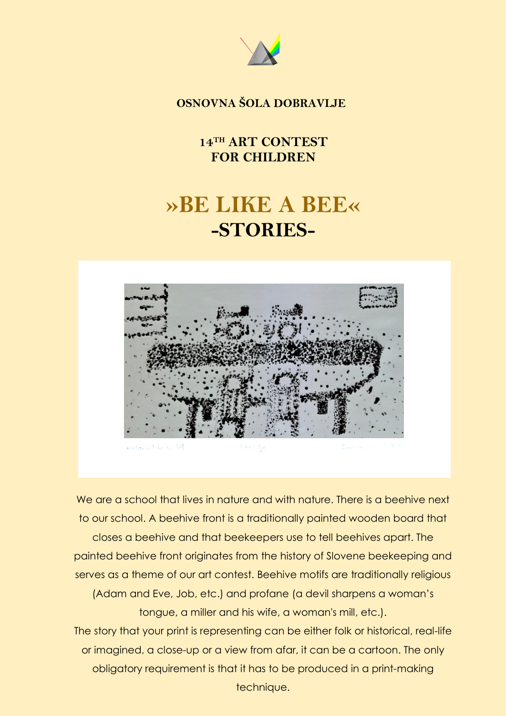

## **OSNOVNA ŠOLA DOBRAVLJE**

**14 TH ART CONTEST FOR CHILDREN**

# **»BE LIKE A BEE« -STORIES-**



mezana tehnika 1/1  $[1, \ln \sigma \hat{z}] \cdot \frac{1}{2} \epsilon$ 

We are a school that lives in nature and with nature. There is a beehive next to our school. A beehive front is a traditionally painted wooden board that closes a beehive and that beekeepers use to tell beehives apart. The painted beehive front originates from the history of Slovene beekeeping and serves as a theme of our art contest. Beehive motifs are traditionally religious (Adam and Eve, Job, etc.) and profane (a devil sharpens a woman's tongue, a miller and his wife, a woman's mill, etc.). The story that your print is representing can be either folk or historical, real-life or imagined, a close-up or a view from afar, it can be a cartoon. The only obligatory requirement is that it has to be produced in a print-making technique.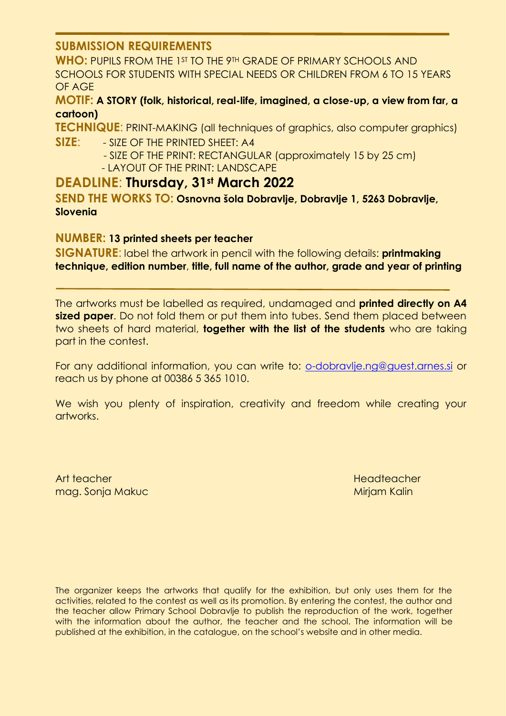#### **SUBMISSION REQUIREMENTS**

**WHO:** PUPILS FROM THE 1ST TO THE 9TH GRADE OF PRIMARY SCHOOLS AND SCHOOLS FOR STUDENTS WITH SPECIAL NEEDS OR CHILDREN FROM 6 TO 15 YEARS OF AGE

#### **MOTIF: A STORY (folk, historical, real-life, imagined, a close-up, a view from far, a cartoon)**

**TECHNIQUE**: PRINT-MAKING (all techniques of graphics, also computer graphics) **SIZE**: - SIZE OF THE PRINTED SHEET: A4

> - SIZE OF THE PRINT: RECTANGULAR (approximately 15 by 25 cm) - LAYOUT OF THE PRINT: LANDSCAPE

### **DEADLINE**: **Thursday, 31st March 2022**

**SEND THE WORKS TO: Osnovna šola Dobravlje, Dobravlje 1, 5263 Dobravlje, Slovenia**

#### **NUMBER: 13 printed sheets per teacher**

**SIGNATURE**: label the artwork in pencil with the following details: **printmaking technique, edition number**, **title, full name of the author, grade and year of printing**

The artworks must be labelled as required, undamaged and **printed directly on A4 sized paper**. Do not fold them or put them into tubes. Send them placed between two sheets of hard material, **together with the list of the students** who are taking part in the contest.

For any additional information, you can write to: [o-dobravlje.ng@guest.arnes.si](mailto:o-dobravlje.ng@guest.arnes.si) or reach us by phone at 00386 5 365 1010.

We wish you plenty of inspiration, creativity and freedom while creating your artworks.

Art teacher mag. Sonja Makuc **Headteacher Miriam Kalin** 

The organizer keeps the artworks that qualify for the exhibition, but only uses them for the activities, related to the contest as well as its promotion. By entering the contest, the author and the teacher allow Primary School Dobravlje to publish the reproduction of the work, together with the information about the author, the teacher and the school. The information will be published at the exhibition, in the catalogue, on the school's website and in other media.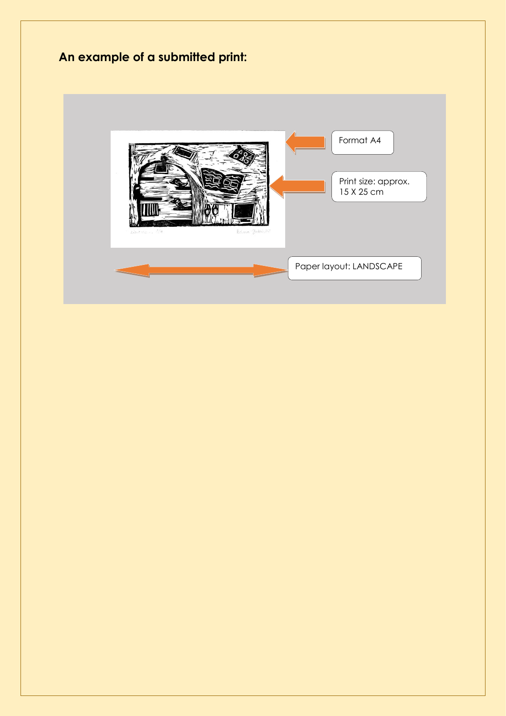# **An example of a submitted print:**